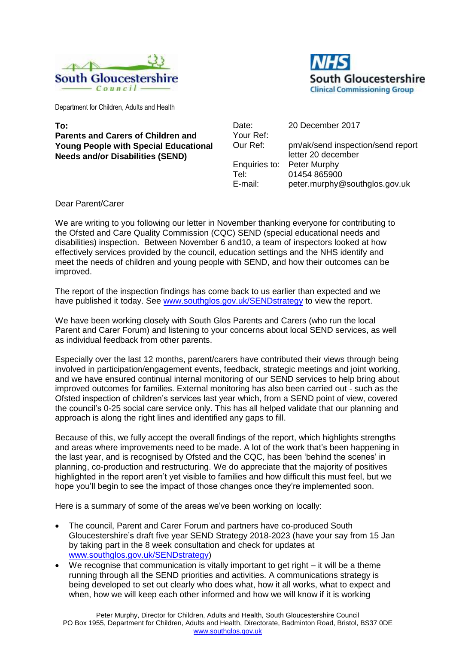



Department for Children, Adults and Health

## **To: Parents and Carers of Children and Young People with Special Educational Needs and/or Disabilities (SEND)**

| Date:         | 20 December 2017                  |
|---------------|-----------------------------------|
| Your Ref:     |                                   |
| Our Ref:      | pm/ak/send inspection/send report |
|               | letter 20 december                |
| Enquiries to: | Peter Murphy                      |
| Tel:          | 01454 865900                      |
| E-mail:       | peter.murphy@southglos.gov.uk     |

## Dear Parent/Carer

We are writing to you following our letter in November thanking everyone for contributing to the Ofsted and Care Quality Commission (CQC) SEND (special educational needs and disabilities) inspection. Between November 6 and10, a team of inspectors looked at how effectively services provided by the council, education settings and the NHS identify and meet the needs of children and young people with SEND, and how their outcomes can be improved.

The report of the inspection findings has come back to us earlier than expected and we have published it today. See [www.southglos.gov.uk/SENDstrategy](http://www.southglos.gov.uk/SENDstrategy) to view the report.

We have been working closely with South Glos Parents and Carers (who run the local Parent and Carer Forum) and listening to your concerns about local SEND services, as well as individual feedback from other parents.

Especially over the last 12 months, parent/carers have contributed their views through being involved in participation/engagement events, feedback, strategic meetings and joint working, and we have ensured continual internal monitoring of our SEND services to help bring about improved outcomes for families. External monitoring has also been carried out - such as the Ofsted inspection of children's services last year which, from a SEND point of view, covered the council's 0-25 social care service only. This has all helped validate that our planning and approach is along the right lines and identified any gaps to fill.

Because of this, we fully accept the overall findings of the report, which highlights strengths and areas where improvements need to be made. A lot of the work that's been happening in the last year, and is recognised by Ofsted and the CQC, has been 'behind the scenes' in planning, co-production and restructuring. We do appreciate that the majority of positives highlighted in the report aren't yet visible to families and how difficult this must feel, but we hope you'll begin to see the impact of those changes once they're implemented soon.

Here is a summary of some of the areas we've been working on locally:

- The council, Parent and Carer Forum and partners have co-produced South Gloucestershire's draft five year SEND Strategy 2018-2023 (have your say from 15 Jan by taking part in the 8 week consultation and check for updates at [www.southglos.gov.uk/SENDstrategy\)](http://www.southglos.gov.uk/SENDstrategy)
- $\bullet$  We recognise that communication is vitally important to get right  $-$  it will be a theme running through all the SEND priorities and activities. A communications strategy is being developed to set out clearly who does what, how it all works, what to expect and when, how we will keep each other informed and how we will know if it is working